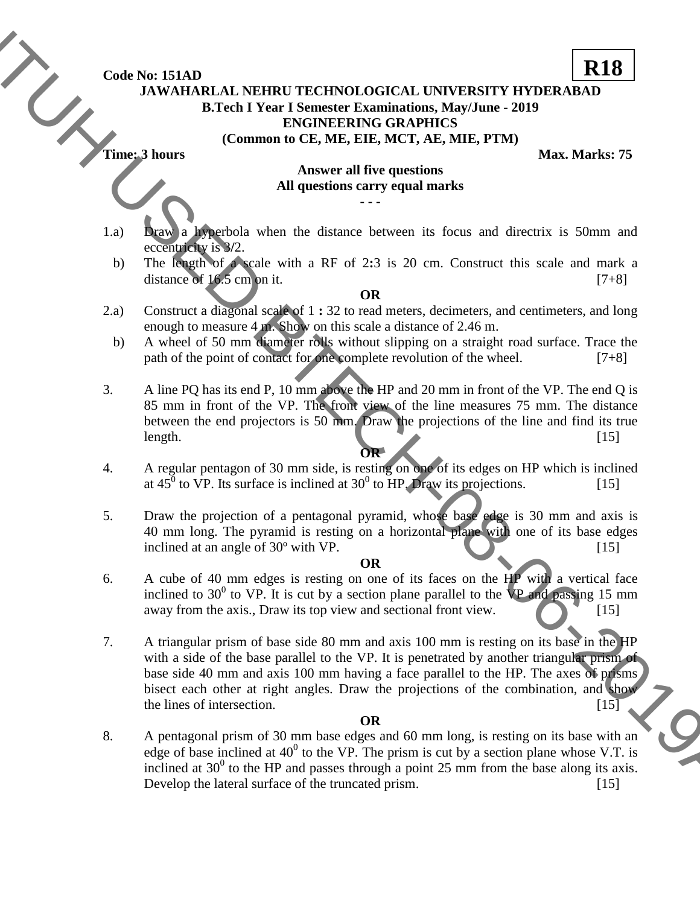**Code No: 151AD**

## **JAWAHARLAL NEHRU TECHNOLOGICAL UNIVERSITY HYDERABAD B.Tech I Year I Semester Examinations, May/June - 2019 ENGINEERING GRAPHICS (Common to CE, ME, EIE, MCT, AE, MIE, PTM)**

**Time: 3 hours Max. Marks: 75** 

**R18**

## **Answer all five questions All questions carry equal marks - - -**

- 1.a) Draw a hyperbola when the distance between its focus and directrix is 50mm and eccentricity is 3**/**2.
	- b) The length of a scale with a RF of 2**:**3 is 20 cm. Construct this scale and mark a distance of  $16.5 \text{ cm}$  on it. [7+8]

**OR**

- 2.a) Construct a diagonal scale of 1 **:** 32 to read meters, decimeters, and centimeters, and long enough to measure 4 m. Show on this scale a distance of 2.46 m.
- b) A wheel of 50 mm diameter rolls without slipping on a straight road surface. Trace the path of the point of contact for one complete revolution of the wheel. [7+8]
- 3. A line PQ has its end P, 10 mm above the HP and 20 mm in front of the VP. The end Q is 85 mm in front of the VP. The front view of the line measures 75 mm. The distance between the end projectors is 50 mm. Draw the projections of the line and find its true length. [15] **OR**
- 4. A regular pentagon of 30 mm side, is resting on one of its edges on HP which is inclined at  $45^{\circ}$  to VP. Its surface is inclined at 30<sup>°</sup> to HP. Draw its projections. [15]
- 5. Draw the projection of a pentagonal pyramid, whose base edge is 30 mm and axis is 40 mm long. The pyramid is resting on a horizontal plane with one of its base edges inclined at an angle of  $30^{\circ}$  with VP. [15]

## **OR**

- 6. A cube of 40 mm edges is resting on one of its faces on the HP with a vertical face inclined to  $30^0$  to VP. It is cut by a section plane parallel to the VP and passing 15 mm away from the axis., Draw its top view and sectional front view.
- 7. A triangular prism of base side 80 mm and axis 100 mm is resting on its base in the HP with a side of the base parallel to the VP. It is penetrated by another triangular prism of base side 40 mm and axis 100 mm having a face parallel to the HP. The axes of prisms bisect each other at right angles. Draw the projections of the combination, and show the lines of intersection.  $[15]$ Code Not 151AD<br>
JATWARBALA NEHERU TECHNOLOGICAL UNIVERSITY IFVIDENDADAD<br>
JATWARBALA NEHERU TECHNOLOGICAL UNIVERSITY IFVIDENDAD<br>
THE USED MORE COMMUNISMENT (COMMUNISMENT (COMMUNISMENT)<br>
THE USED VANISHES 75<br>
Although a bou

## **OR**

8. A pentagonal prism of 30 mm base edges and 60 mm long, is resting on its base with an edge of base inclined at  $40^0$  to the VP. The prism is cut by a section plane whose V.T. is inclined at  $30^0$  to the HP and passes through a point 25 mm from the base along its axis. Develop the lateral surface of the truncated prism. [15]